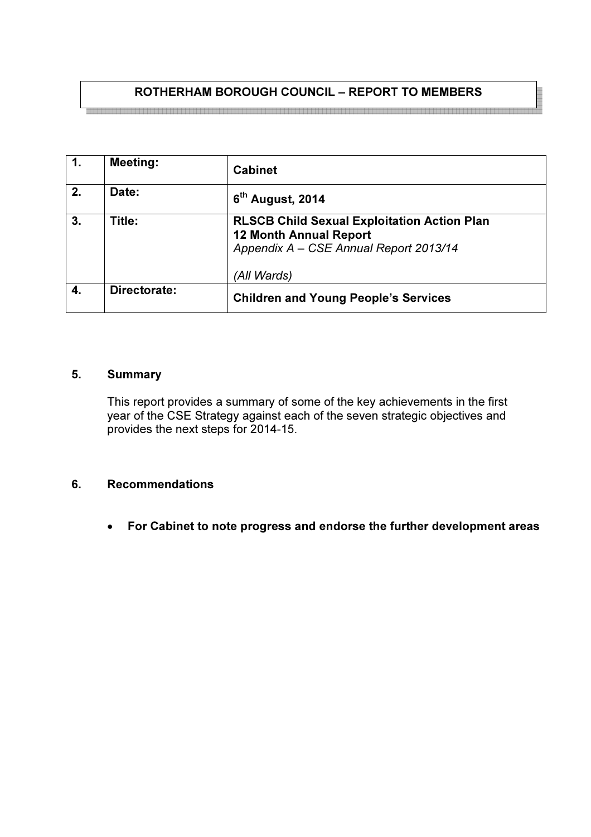# ROTHERHAM BOROUGH COUNCIL – REPORT TO MEMBERS

1. Meeting: Cabinet 2.  $\begin{vmatrix} \text{Date:} \\ 6 \end{vmatrix}$ 6<sup>th</sup> August, 2014 3. Title: RLSCB Child Sexual Exploitation Action Plan 12 Month Annual Report Appendix A – CSE Annual Report 2013/14 (All Wards) 4. Directorate: Children and Young People's Services

## 5. Summary

This report provides a summary of some of the key achievements in the first year of the CSE Strategy against each of the seven strategic objectives and provides the next steps for 2014-15.

## 6. Recommendations

• For Cabinet to note progress and endorse the further development areas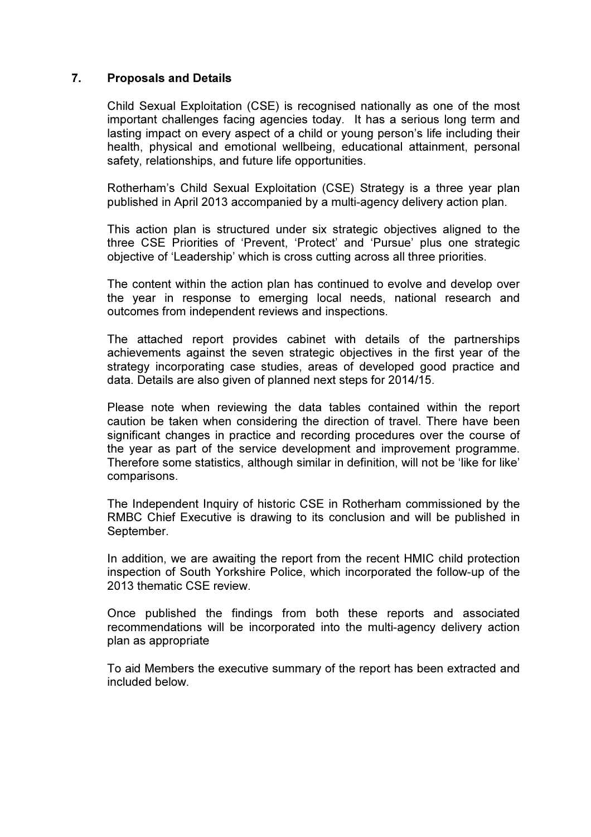## 7. Proposals and Details

Child Sexual Exploitation (CSE) is recognised nationally as one of the most important challenges facing agencies today. It has a serious long term and lasting impact on every aspect of a child or young person's life including their health, physical and emotional wellbeing, educational attainment, personal safety, relationships, and future life opportunities.

Rotherham's Child Sexual Exploitation (CSE) Strategy is a three year plan published in April 2013 accompanied by a multi-agency delivery action plan.

This action plan is structured under six strategic objectives aligned to the three CSE Priorities of 'Prevent, 'Protect' and 'Pursue' plus one strategic objective of 'Leadership' which is cross cutting across all three priorities.

The content within the action plan has continued to evolve and develop over the year in response to emerging local needs, national research and outcomes from independent reviews and inspections.

The attached report provides cabinet with details of the partnerships achievements against the seven strategic objectives in the first year of the strategy incorporating case studies, areas of developed good practice and data. Details are also given of planned next steps for 2014/15.

Please note when reviewing the data tables contained within the report caution be taken when considering the direction of travel. There have been significant changes in practice and recording procedures over the course of the year as part of the service development and improvement programme. Therefore some statistics, although similar in definition, will not be 'like for like' comparisons.

The Independent Inquiry of historic CSE in Rotherham commissioned by the RMBC Chief Executive is drawing to its conclusion and will be published in September.

In addition, we are awaiting the report from the recent HMIC child protection inspection of South Yorkshire Police, which incorporated the follow-up of the 2013 thematic CSE review.

Once published the findings from both these reports and associated recommendations will be incorporated into the multi-agency delivery action plan as appropriate

To aid Members the executive summary of the report has been extracted and included below.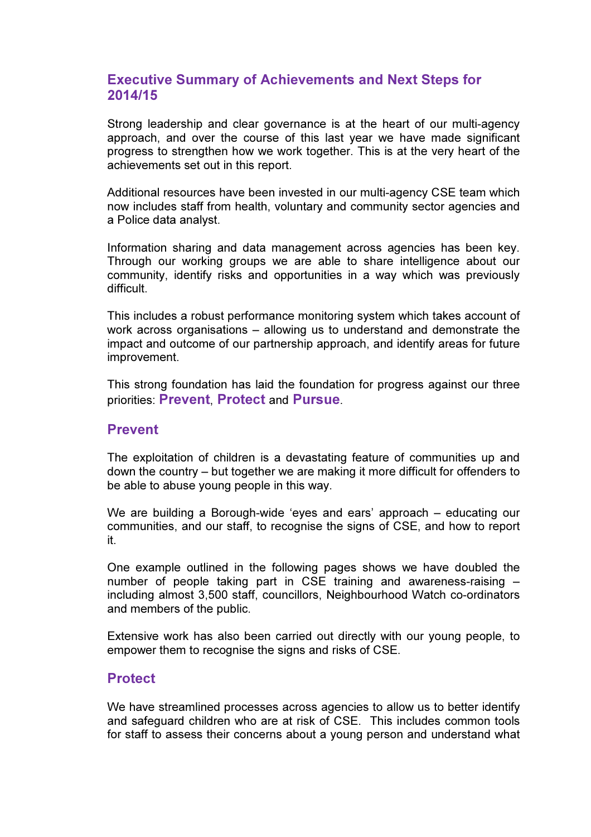# Executive Summary of Achievements and Next Steps for 2014/15

Strong leadership and clear governance is at the heart of our multi-agency approach, and over the course of this last year we have made significant progress to strengthen how we work together. This is at the very heart of the achievements set out in this report.

Additional resources have been invested in our multi-agency CSE team which now includes staff from health, voluntary and community sector agencies and a Police data analyst.

Information sharing and data management across agencies has been key. Through our working groups we are able to share intelligence about our community, identify risks and opportunities in a way which was previously difficult.

This includes a robust performance monitoring system which takes account of work across organisations – allowing us to understand and demonstrate the impact and outcome of our partnership approach, and identify areas for future improvement.

This strong foundation has laid the foundation for progress against our three priorities: Prevent, Protect and Pursue.

## Prevent

The exploitation of children is a devastating feature of communities up and down the country – but together we are making it more difficult for offenders to be able to abuse young people in this way.

We are building a Borough-wide 'eyes and ears' approach – educating our communities, and our staff, to recognise the signs of CSE, and how to report it.

One example outlined in the following pages shows we have doubled the number of people taking part in CSE training and awareness-raising – including almost 3,500 staff, councillors, Neighbourhood Watch co-ordinators and members of the public.

Extensive work has also been carried out directly with our young people, to empower them to recognise the signs and risks of CSE.

# **Protect**

We have streamlined processes across agencies to allow us to better identify and safeguard children who are at risk of CSE. This includes common tools for staff to assess their concerns about a young person and understand what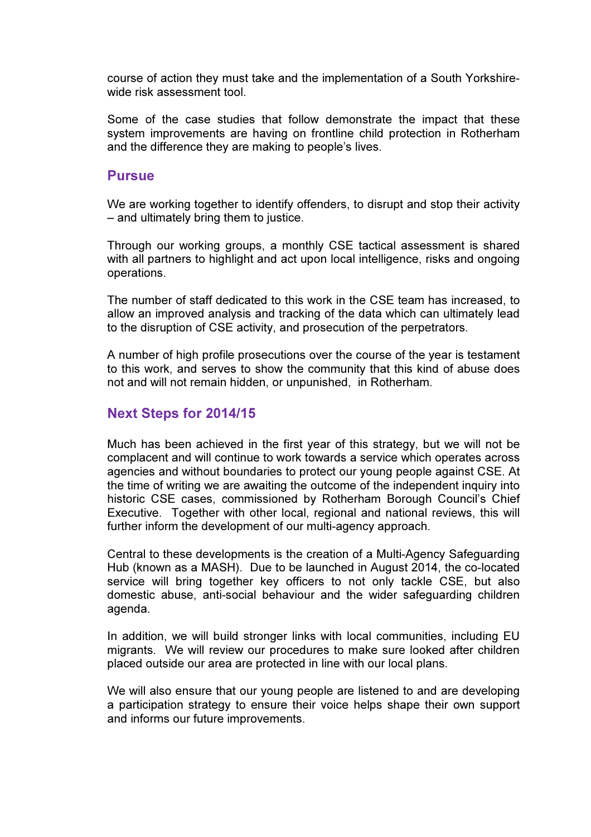course of action they must take and the implementation of a South Yorkshirewide risk assessment tool.

Some of the case studies that follow demonstrate the impact that these system improvements are having on frontline child protection in Rotherham and the difference they are making to people's lives.

#### **Pursue**

We are working together to identify offenders, to disrupt and stop their activity – and ultimately bring them to justice.

Through our working groups, a monthly CSE tactical assessment is shared with all partners to highlight and act upon local intelligence, risks and ongoing operations.

The number of staff dedicated to this work in the CSE team has increased, to allow an improved analysis and tracking of the data which can ultimately lead to the disruption of CSE activity, and prosecution of the perpetrators.

A number of high profile prosecutions over the course of the year is testament to this work, and serves to show the community that this kind of abuse does not and will not remain hidden, or unpunished, in Rotherham.

# Next Steps for 2014/15

Much has been achieved in the first year of this strategy, but we will not be complacent and will continue to work towards a service which operates across agencies and without boundaries to protect our young people against CSE. At the time of writing we are awaiting the outcome of the independent inquiry into historic CSE cases, commissioned by Rotherham Borough Council's Chief Executive. Together with other local, regional and national reviews, this will further inform the development of our multi-agency approach.

Central to these developments is the creation of a Multi-Agency Safeguarding Hub (known as a MASH). Due to be launched in August 2014, the co-located service will bring together key officers to not only tackle CSE, but also domestic abuse, anti-social behaviour and the wider safeguarding children agenda.

In addition, we will build stronger links with local communities, including EU migrants. We will review our procedures to make sure looked after children placed outside our area are protected in line with our local plans.

We will also ensure that our young people are listened to and are developing a participation strategy to ensure their voice helps shape their own support and informs our future improvements.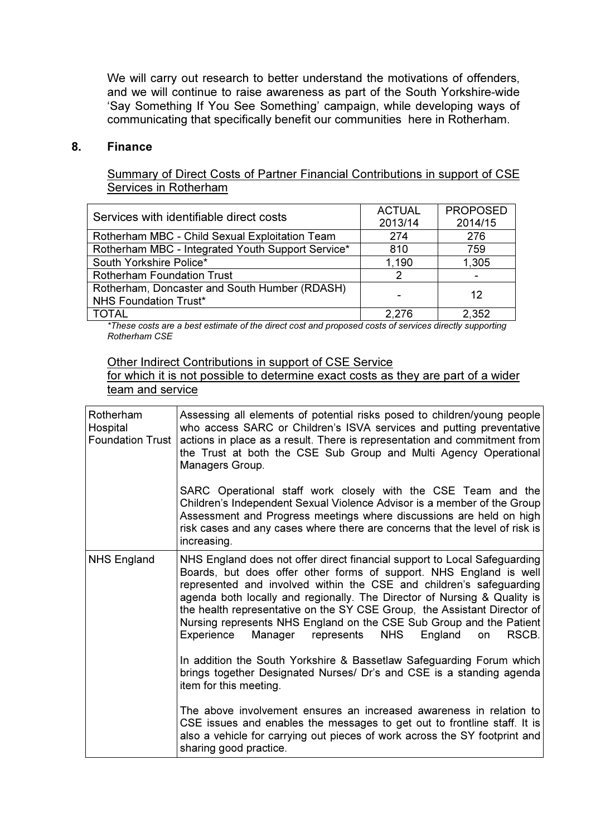We will carry out research to better understand the motivations of offenders, and we will continue to raise awareness as part of the South Yorkshire-wide 'Say Something If You See Something' campaign, while developing ways of communicating that specifically benefit our communities here in Rotherham.

#### 8. Finance

Summary of Direct Costs of Partner Financial Contributions in support of CSE Services in Rotherham

| Services with identifiable direct costs                                       | <b>ACTUAL</b><br>2013/14 | <b>PROPOSED</b><br>2014/15 |
|-------------------------------------------------------------------------------|--------------------------|----------------------------|
| Rotherham MBC - Child Sexual Exploitation Team                                | 274                      | 276                        |
| Rotherham MBC - Integrated Youth Support Service*                             | 810                      | 759                        |
| South Yorkshire Police*                                                       | 1,190                    | 1,305                      |
| <b>Rotherham Foundation Trust</b>                                             | 2                        |                            |
| Rotherham, Doncaster and South Humber (RDASH)<br><b>NHS Foundation Trust*</b> |                          | 12                         |
| <b>TOTAL</b>                                                                  | 2.276                    | 2,352                      |

\*These costs are a best estimate of the direct cost and proposed costs of services directly supporting Rotherham CSE

Other Indirect Contributions in support of CSE Service

for which it is not possible to determine exact costs as they are part of a wider team and service

| Rotherham<br>Hospital<br><b>Foundation Trust</b> | Assessing all elements of potential risks posed to children/young people<br>who access SARC or Children's ISVA services and putting preventative<br>actions in place as a result. There is representation and commitment from<br>the Trust at both the CSE Sub Group and Multi Agency Operational<br>Managers Group.                                                                                                                                                                                                                                                                                                                                                              |
|--------------------------------------------------|-----------------------------------------------------------------------------------------------------------------------------------------------------------------------------------------------------------------------------------------------------------------------------------------------------------------------------------------------------------------------------------------------------------------------------------------------------------------------------------------------------------------------------------------------------------------------------------------------------------------------------------------------------------------------------------|
|                                                  | SARC Operational staff work closely with the CSE Team and the<br>Children's Independent Sexual Violence Advisor is a member of the Group<br>Assessment and Progress meetings where discussions are held on high<br>risk cases and any cases where there are concerns that the level of risk is<br>increasing.                                                                                                                                                                                                                                                                                                                                                                     |
| <b>NHS England</b>                               | NHS England does not offer direct financial support to Local Safeguarding<br>Boards, but does offer other forms of support. NHS England is well<br>represented and involved within the CSE and children's safeguarding<br>agenda both locally and regionally. The Director of Nursing & Quality is<br>the health representative on the SY CSE Group, the Assistant Director of<br>Nursing represents NHS England on the CSE Sub Group and the Patient<br><b>NHS</b><br>Manager represents<br>RSCB.<br>Experience<br>England<br>on<br>In addition the South Yorkshire & Bassetlaw Safeguarding Forum which<br>brings together Designated Nurses/ Dr's and CSE is a standing agenda |
|                                                  | item for this meeting.<br>The above involvement ensures an increased awareness in relation to<br>CSE issues and enables the messages to get out to frontline staff. It is<br>also a vehicle for carrying out pieces of work across the SY footprint and                                                                                                                                                                                                                                                                                                                                                                                                                           |
|                                                  | sharing good practice.                                                                                                                                                                                                                                                                                                                                                                                                                                                                                                                                                                                                                                                            |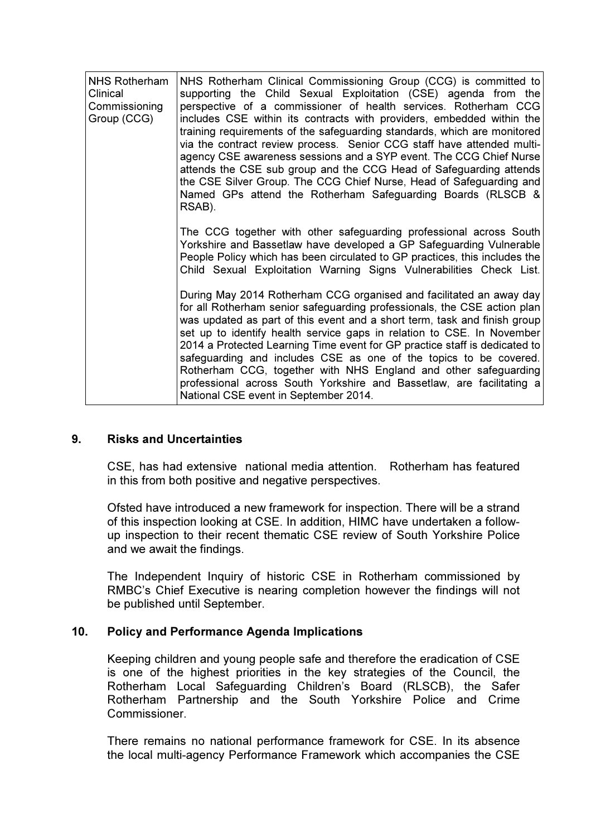| <b>NHS Rotherham</b><br>Clinical<br>Commissioning<br>Group (CCG) | NHS Rotherham Clinical Commissioning Group (CCG) is committed to<br>supporting the Child Sexual Exploitation (CSE) agenda from the<br>perspective of a commissioner of health services. Rotherham CCG<br>includes CSE within its contracts with providers, embedded within the<br>training requirements of the safeguarding standards, which are monitored<br>via the contract review process. Senior CCG staff have attended multi-<br>agency CSE awareness sessions and a SYP event. The CCG Chief Nurse<br>attends the CSE sub group and the CCG Head of Safeguarding attends<br>the CSE Silver Group. The CCG Chief Nurse, Head of Safeguarding and<br>Named GPs attend the Rotherham Safeguarding Boards (RLSCB &<br>RSAB). |
|------------------------------------------------------------------|----------------------------------------------------------------------------------------------------------------------------------------------------------------------------------------------------------------------------------------------------------------------------------------------------------------------------------------------------------------------------------------------------------------------------------------------------------------------------------------------------------------------------------------------------------------------------------------------------------------------------------------------------------------------------------------------------------------------------------|
|                                                                  | The CCG together with other safeguarding professional across South<br>Yorkshire and Bassetlaw have developed a GP Safeguarding Vulnerable<br>People Policy which has been circulated to GP practices, this includes the<br>Child Sexual Exploitation Warning Signs Vulnerabilities Check List.                                                                                                                                                                                                                                                                                                                                                                                                                                   |
|                                                                  | During May 2014 Rotherham CCG organised and facilitated an away day<br>for all Rotherham senior safeguarding professionals, the CSE action plan<br>was updated as part of this event and a short term, task and finish group<br>set up to identify health service gaps in relation to CSE. In November<br>2014 a Protected Learning Time event for GP practice staff is dedicated to<br>safeguarding and includes CSE as one of the topics to be covered.<br>Rotherham CCG, together with NHS England and other safeguarding<br>professional across South Yorkshire and Bassetlaw, are facilitating a<br>National CSE event in September 2014.                                                                                   |

## 9. Risks and Uncertainties

CSE, has had extensive national media attention. Rotherham has featured in this from both positive and negative perspectives.

Ofsted have introduced a new framework for inspection. There will be a strand of this inspection looking at CSE. In addition, HIMC have undertaken a followup inspection to their recent thematic CSE review of South Yorkshire Police and we await the findings.

The Independent Inquiry of historic CSE in Rotherham commissioned by RMBC's Chief Executive is nearing completion however the findings will not be published until September.

#### 10. Policy and Performance Agenda Implications

Keeping children and young people safe and therefore the eradication of CSE is one of the highest priorities in the key strategies of the Council, the Rotherham Local Safeguarding Children's Board (RLSCB), the Safer Rotherham Partnership and the South Yorkshire Police and Crime Commissioner.

There remains no national performance framework for CSE. In its absence the local multi-agency Performance Framework which accompanies the CSE